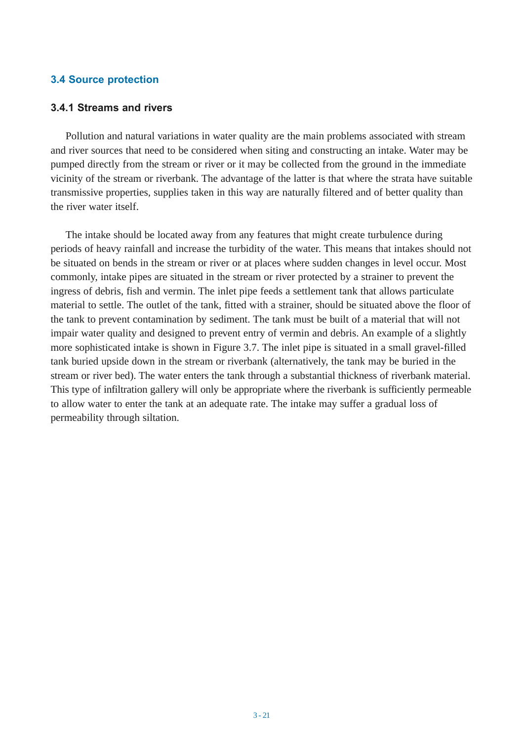#### **3.4 Source protection**

#### **3.4.1 Streams and rivers**

Pollution and natural variations in water quality are the main problems associated with stream and river sources that need to be considered when siting and constructing an intake. Water may be pumped directly from the stream or river or it may be collected from the ground in the immediate vicinity of the stream or riverbank. The advantage of the latter is that where the strata have suitable transmissive properties, supplies taken in this way are naturally filtered and of better quality than the river water itself.

The intake should be located away from any features that might create turbulence during periods of heavy rainfall and increase the turbidity of the water. This means that intakes should not be situated on bends in the stream or river or at places where sudden changes in level occur. Most commonly, intake pipes are situated in the stream or river protected by a strainer to prevent the ingress of debris, fish and vermin. The inlet pipe feeds a settlement tank that allows particulate material to settle. The outlet of the tank, fitted with a strainer, should be situated above the floor of the tank to prevent contamination by sediment. The tank must be built of a material that will not impair water quality and designed to prevent entry of vermin and debris. An example of a slightly more sophisticated intake is shown in Figure 3.7. The inlet pipe is situated in a small gravel-filled tank buried upside down in the stream or riverbank (alternatively, the tank may be buried in the stream or river bed). The water enters the tank through a substantial thickness of riverbank material. This type of infiltration gallery will only be appropriate where the riverbank is sufficiently permeable to allow water to enter the tank at an adequate rate. The intake may suffer a gradual loss of permeability through siltation.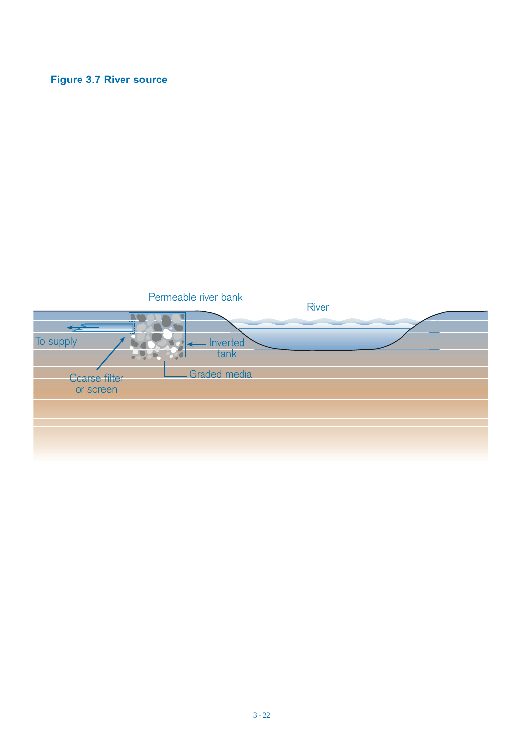# **Figure 3.7 River source**

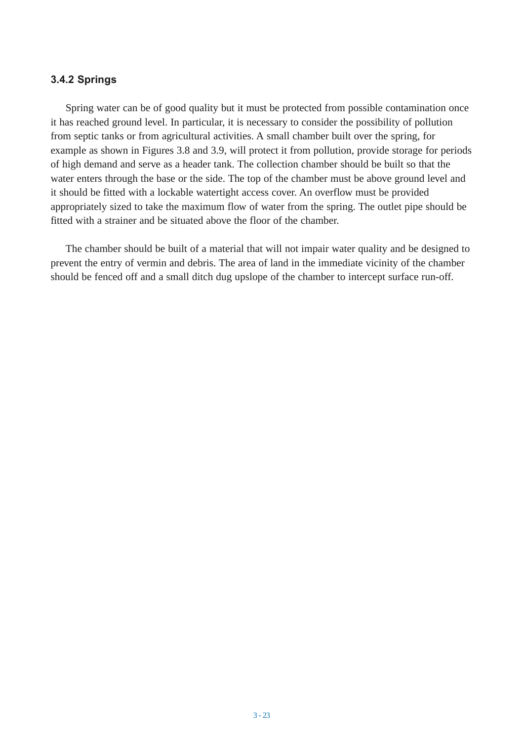#### **3.4.2 Springs**

Spring water can be of good quality but it must be protected from possible contamination once it has reached ground level. In particular, it is necessary to consider the possibility of pollution from septic tanks or from agricultural activities. A small chamber built over the spring, for example as shown in Figures 3.8 and 3.9, will protect it from pollution, provide storage for periods of high demand and serve as a header tank. The collection chamber should be built so that the water enters through the base or the side. The top of the chamber must be above ground level and it should be fitted with a lockable watertight access cover. An overflow must be provided appropriately sized to take the maximum flow of water from the spring. The outlet pipe should be fitted with a strainer and be situated above the floor of the chamber.

The chamber should be built of a material that will not impair water quality and be designed to prevent the entry of vermin and debris. The area of land in the immediate vicinity of the chamber should be fenced off and a small ditch dug upslope of the chamber to intercept surface run-off.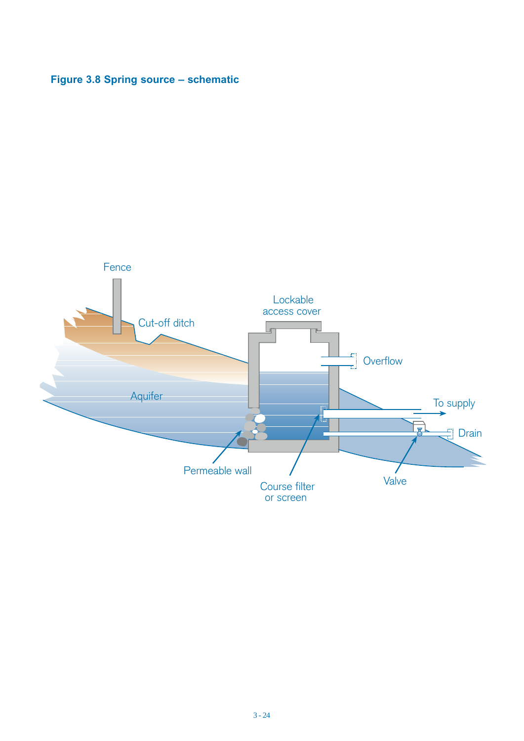# **Figure 3.8 Spring source – schematic**

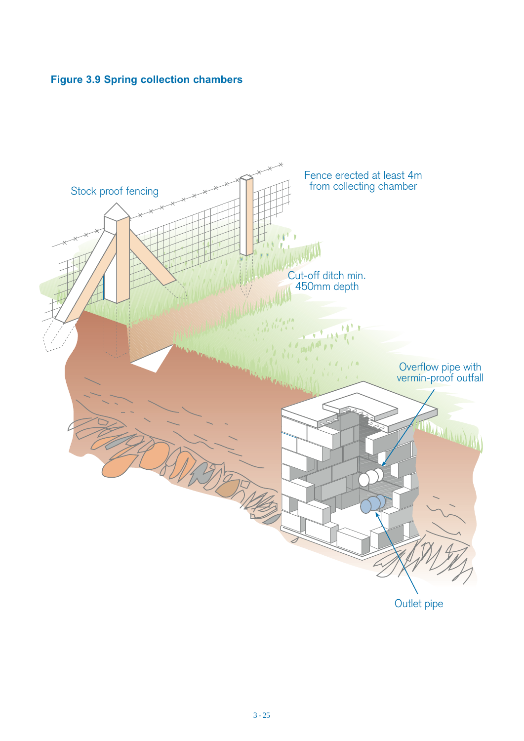# **Figure 3.9 Spring collection chambers**

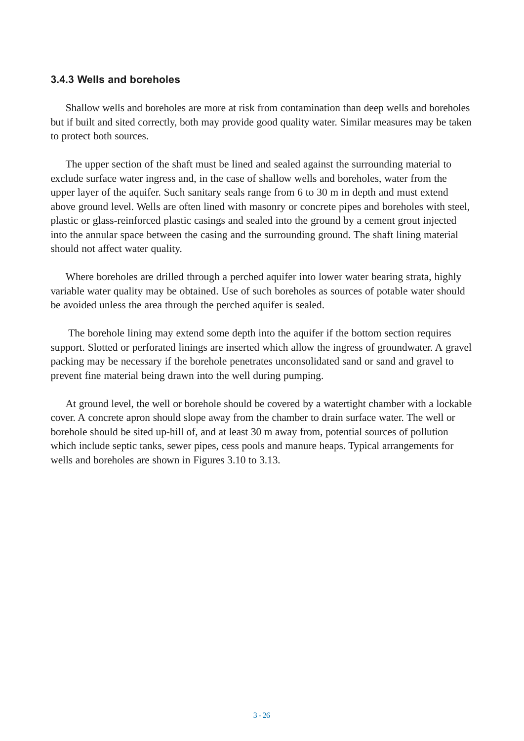#### **3.4.3 Wells and boreholes**

Shallow wells and boreholes are more at risk from contamination than deep wells and boreholes but if built and sited correctly, both may provide good quality water. Similar measures may be taken to protect both sources.

The upper section of the shaft must be lined and sealed against the surrounding material to exclude surface water ingress and, in the case of shallow wells and boreholes, water from the upper layer of the aquifer. Such sanitary seals range from 6 to 30 m in depth and must extend above ground level. Wells are often lined with masonry or concrete pipes and boreholes with steel, plastic or glass-reinforced plastic casings and sealed into the ground by a cement grout injected into the annular space between the casing and the surrounding ground. The shaft lining material should not affect water quality.

Where boreholes are drilled through a perched aquifer into lower water bearing strata, highly variable water quality may be obtained. Use of such boreholes as sources of potable water should be avoided unless the area through the perched aquifer is sealed.

The borehole lining may extend some depth into the aquifer if the bottom section requires support. Slotted or perforated linings are inserted which allow the ingress of groundwater. A gravel packing may be necessary if the borehole penetrates unconsolidated sand or sand and gravel to prevent fine material being drawn into the well during pumping.

At ground level, the well or borehole should be covered by a watertight chamber with a lockable cover. A concrete apron should slope away from the chamber to drain surface water. The well or borehole should be sited up-hill of, and at least 30 m away from, potential sources of pollution which include septic tanks, sewer pipes, cess pools and manure heaps. Typical arrangements for wells and boreholes are shown in Figures 3.10 to 3.13.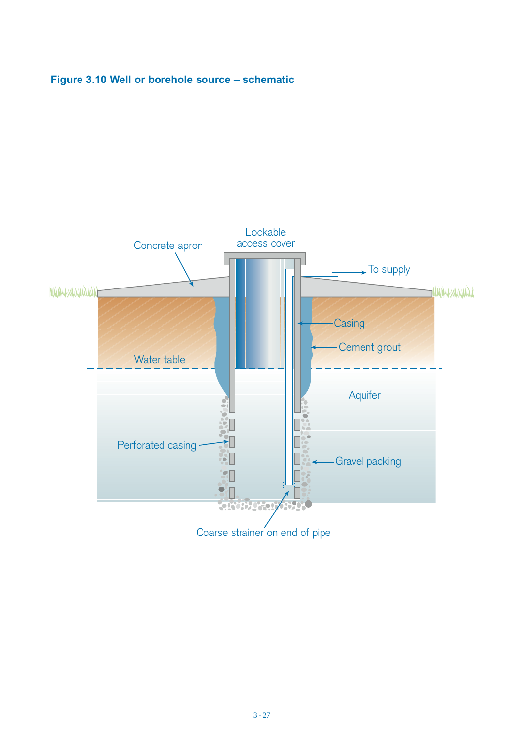# **Figure 3.10 Well or borehole source – schematic**

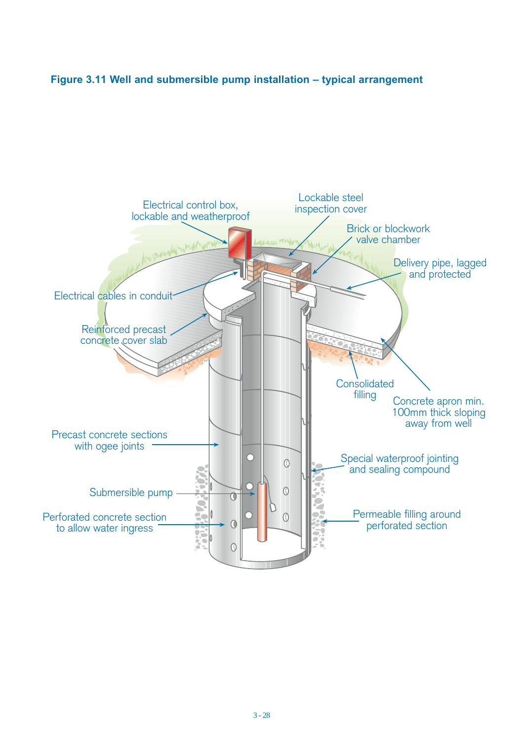### **Figure 3.11 Well and submersible pump installation – typical arrangement**

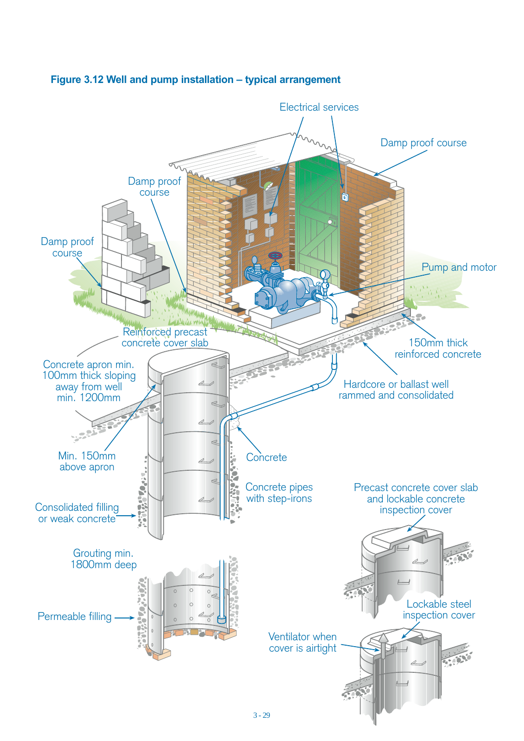

#### **Figure 3.12 Well and pump installation – typical arrangement**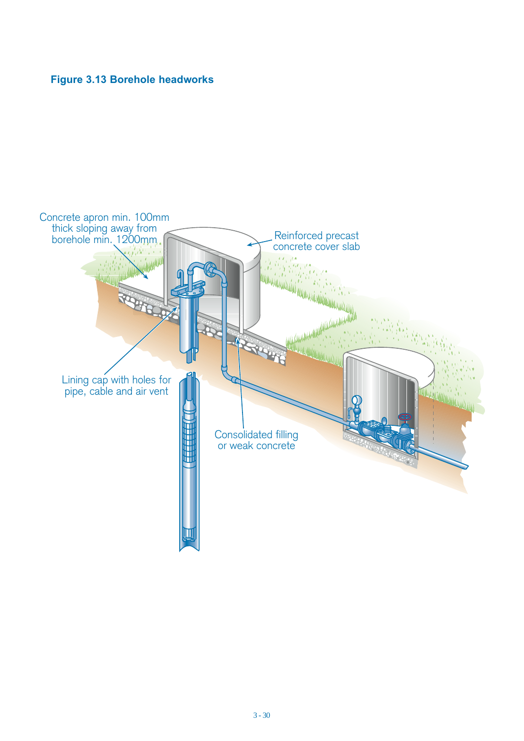### **Figure 3.13 Borehole headworks**